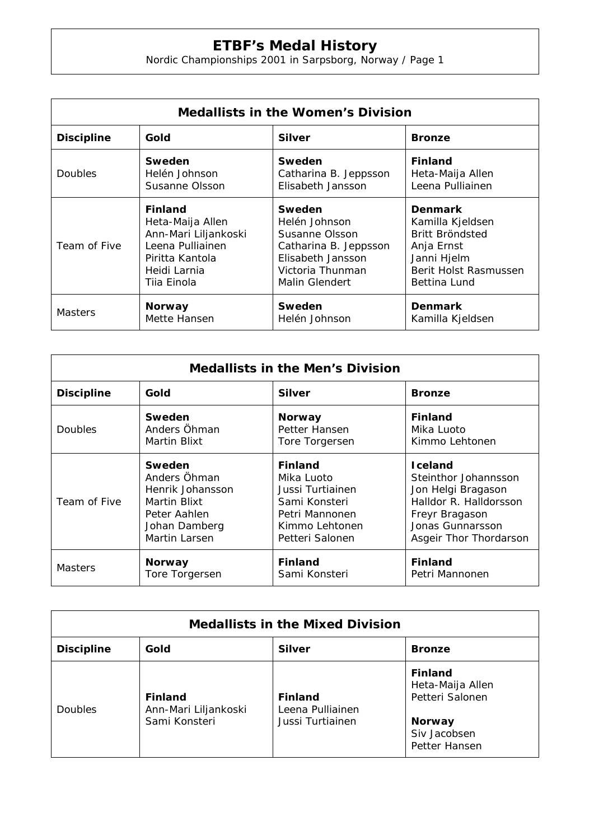## **ETBF's Medal History**

Nordic Championships 2001 in Sarpsborg, Norway / Page 1

| <b>Medallists in the Women's Division</b> |                      |                       |                       |  |  |  |
|-------------------------------------------|----------------------|-----------------------|-----------------------|--|--|--|
| <b>Discipline</b>                         | Gold                 | <b>Silver</b>         | <b>Bronze</b>         |  |  |  |
| <b>Doubles</b>                            | Sweden               | Sweden                | <b>Finland</b>        |  |  |  |
|                                           | Helén Johnson        | Catharina B. Jeppsson | Heta-Maija Allen      |  |  |  |
|                                           | Susanne Olsson       | Elisabeth Jansson     | Leena Pulliainen      |  |  |  |
| Team of Five                              | <b>Finland</b>       | Sweden                | <b>Denmark</b>        |  |  |  |
|                                           | Heta-Maija Allen     | Helén Johnson         | Kamilla Kjeldsen      |  |  |  |
|                                           | Ann-Mari Liljankoski | Susanne Olsson        | Britt Bröndsted       |  |  |  |
|                                           | Leena Pulliainen     | Catharina B. Jeppsson | Anja Ernst            |  |  |  |
|                                           | Piritta Kantola      | Elisabeth Jansson     | Janni Hjelm           |  |  |  |
|                                           | Heidi Larnia         | Victoria Thunman      | Berit Holst Rasmussen |  |  |  |
|                                           | Tiia Einola          | Malin Glendert        | Bettina Lund          |  |  |  |
| <b>Masters</b>                            | <b>Norway</b>        | Sweden                | <b>Denmark</b>        |  |  |  |
|                                           | Mette Hansen         | Helén Johnson         | Kamilla Kjeldsen      |  |  |  |

| <b>Medallists in the Men's Division</b> |                  |                  |                        |  |  |
|-----------------------------------------|------------------|------------------|------------------------|--|--|
| <b>Discipline</b>                       | Gold             | <b>Silver</b>    | <b>Bronze</b>          |  |  |
| <b>Doubles</b>                          | Sweden           | <b>Norway</b>    | <b>Finland</b>         |  |  |
|                                         | Anders Öhman     | Petter Hansen    | Mika Luoto             |  |  |
|                                         | Martin Blixt     | Tore Torgersen   | Kimmo Lehtonen         |  |  |
| Team of Five                            | Sweden           | <b>Finland</b>   | <b>I</b> celand        |  |  |
|                                         | Anders Öhman     | Mika Luoto       | Steinthor Johannsson   |  |  |
|                                         | Henrik Johansson | Jussi Turtiainen | Jon Helgi Bragason     |  |  |
|                                         | Martin Blixt     | Sami Konsteri    | Halldor R. Halldorsson |  |  |
|                                         | Peter Aahlen     | Petri Mannonen   | Freyr Bragason         |  |  |
|                                         | Johan Damberg    | Kimmo Lehtonen   | Jonas Gunnarsson       |  |  |
|                                         | Martin Larsen    | Petteri Salonen  | Asgeir Thor Thordarson |  |  |
| <b>Masters</b>                          | <b>Norway</b>    | <b>Finland</b>   | <b>Finland</b>         |  |  |
|                                         | Tore Torgersen   | Sami Konsteri    | Petri Mannonen         |  |  |

| <b>Medallists in the Mixed Division</b> |                                                         |                                                        |                                                                                                         |  |  |
|-----------------------------------------|---------------------------------------------------------|--------------------------------------------------------|---------------------------------------------------------------------------------------------------------|--|--|
| <b>Discipline</b>                       | Gold                                                    | <b>Silver</b>                                          | <b>Bronze</b>                                                                                           |  |  |
| <b>Doubles</b>                          | <b>Finland</b><br>Ann-Mari Liljankoski<br>Sami Konsteri | <b>Finland</b><br>Leena Pulliainen<br>Jussi Turtiainen | <b>Finland</b><br>Heta-Maija Allen<br>Petteri Salonen<br><b>Norway</b><br>Siv Jacobsen<br>Petter Hansen |  |  |